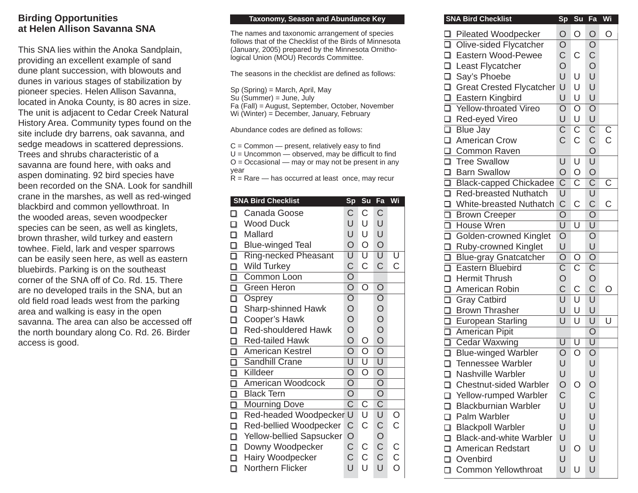## **Birding Opportunities at Helen Allison Savanna SNA**

This SNA lies within the Anoka Sandplain, providing an excellent example of sand dune plant succession, with blowouts and dunes in various stages of stabilization by pioneer species. Helen Allison Savanna, located in Anoka County, is 80 acres in size. The unit is adjacent to Cedar Creek Natural History Area. Community types found on the site include dry barrens, oak savanna, and sedge meadows in scattered depressions. Trees and shrubs characteristic of a savanna are found here, with oaks and aspen dominating. 92 bird species have been recorded on the SNA. Look for sandhill crane in the marshes, as well as red-winged blackbird and common yellowthroat. In the wooded areas, seven woodpecker species can be seen, as well as kinglets, brown thrasher, wild turkey and eastern towhee. Field, lark and vesper sparrows can be easily seen here, as well as eastern bluebirds. Parking is on the southeast corner of the SNA off of Co. Rd. 15. There are no developed trails in the SNA, but an old field road leads west from the parking area and walking is easy in the open savanna. The area can also be accessed off the north boundary along Co. Rd. 26. Birder access is good.

## **Taxonomy, Season and Abundance Key Communist COME SNA Bird Checklist Sp Su Fa Williams Sp Su Fa Williams Sp Su Fa Williams Sp Su Fa Williams Sp Su Fa Williams Sp Su Fa Williams Sp Su Fa Williams Sp Su Fa Williams Sp Su Fa**

The names and taxonomic arrangement of species follows that of the Checklist of the Birds of Minnesota (January, 2005) prepared by the Minnesota Ornithological Union (MOU) Records Committee.

The seasons in the checklist are defined as follows:

Sp (Spring) = March, April, May

Su (Summer) = June, July

Fa (Fall) = August, September, October, November

Wi (Winter) = December, January, February

Abundance codes are defined as follows:

 $C =$  Common  $-$  present, relatively easy to find  $U =$  Uncommon  $-$  observed, may be difficult to find  $O = Occasional$  — may or may not be present in any year

 $R =$ Rare — has occurred at least once, may recur

| <b>SNA Bird Checklist</b> |                             | <b>Sp</b>               | Su                      | Fa                      | Wi                |
|---------------------------|-----------------------------|-------------------------|-------------------------|-------------------------|-------------------|
|                           | Canada Goose                | C                       | C                       | C                       |                   |
| П                         | <b>Wood Duck</b>            | U                       | U                       | U                       |                   |
| Mallard<br>□              |                             | U                       | U                       | U                       |                   |
| $\frac{\square}{\square}$ | <b>Blue-winged Teal</b>     | $\overline{O}$          | $\circ$                 | $\overline{O}$          |                   |
|                           | <b>Ring-necked Pheasant</b> | $\overline{\mathsf{U}}$ | $\overline{\mathsf{U}}$ | $\overline{\mathsf{U}}$ | U                 |
| $\Box$                    | <b>Wild Turkey</b>          | $\mathsf C$             | C                       | C                       | С                 |
| $\frac{\square}{\square}$ | Common Loon                 | $\overline{\mathsf{O}}$ |                         |                         |                   |
|                           | Green Heron                 | $\overline{\rm O}$      | O                       | $\overline{O}$          |                   |
| О                         | Osprey                      | $\overline{O}$          |                         | $\overline{O}$          |                   |
| $\Box$                    | <b>Sharp-shinned Hawk</b>   | $\circ$                 |                         | $\overline{O}$<br>O     |                   |
| $\Box$                    | Cooper's Hawk               | $\overline{O}$          |                         |                         |                   |
| $\Box$                    | <b>Red-shouldered Hawk</b>  | $\overline{O}$          |                         | $\overline{O}$          |                   |
| □                         | <b>Red-tailed Hawk</b>      | $\overline{O}$          | O                       |                         |                   |
| О                         | American Kestrel            | $\overline{O}$          | O                       | $\overline{O}$          |                   |
| $\overline{\square}$      | <b>Sandhill Crane</b>       | $\overline{\textsf{U}}$ | $\overline{\mathsf{U}}$ | $\overline{\mathsf{U}}$ |                   |
| $\frac{\square}{\square}$ | Killdeer                    | $\overline{O}$          | O                       | $\overline{O}$          |                   |
|                           | American Woodcock           | $\overline{O}$          |                         | $\overline{O}$          |                   |
| $\Box$                    | <b>Black Tern</b>           | O                       |                         | O                       |                   |
| □                         | <b>Mourning Dove</b>        | $\overline{\textsf{C}}$ | C                       | $\overline{\mathsf{C}}$ |                   |
| О                         | Red-headed Woodpecker       | U                       | U                       | U                       | $\rm \frac{O}{C}$ |
| П                         | Red-bellied Woodpecker      | С                       | C                       | C<br>O<br>C             |                   |
| $\Box$                    | Yellow-bellied Sapsucker    | O                       |                         |                         |                   |
| $\Box$                    | Downy Woodpecker            | C                       | C.                      |                         | С                 |
| $\Box$                    | Hairy Woodpecker            | $\mathsf C$             | C                       | $\mathsf{C}$            | $\mathsf C$       |
| □                         | Northern Flicker            | U                       | U                       | Ù                       | $\circ$           |
|                           |                             |                         |                         |                         |                   |

| <b>SIA DIID CHECKIST</b>                           |                                  | əu                      | гa                               | VVI                 |
|----------------------------------------------------|----------------------------------|-------------------------|----------------------------------|---------------------|
| □ Pileated Woodpecker                              | $\circ$                          | O                       | $\bigcirc$                       | O                   |
| □ Olive-sided Flycatcher                           | $\circ$                          |                         |                                  |                     |
| □ Eastern Wood-Pewee                               | $\frac{C}{O}$                    | $\mathsf C$             | O<br>C<br>O                      |                     |
| □ Least Flycatcher                                 |                                  |                         |                                  |                     |
| Say's Phoebe                                       | U                                | U                       | U                                |                     |
| □ Great Crested Flycatcher                         |                                  | U                       | U                                |                     |
|                                                    |                                  | U                       | U                                |                     |
| □ Eastern Kingbird<br>□ Yellow-throated Vireo      | $\overline{\mathsf{O}}$          | $\overline{O}$          | $\overline{O}$                   |                     |
|                                                    | U<br>$\overline{\mathsf{C}}$     | U                       | U                                |                     |
| □ Red-eyed Vireo<br>□ Blue Jay                     |                                  | $\overline{\mathsf{C}}$ | $\overline{C}$<br>$\overline{C}$ | $\overline{C}$<br>C |
| American Crow                                      | $\overline{C}$                   | $\mathsf C$             |                                  |                     |
| Common Raven                                       |                                  |                         |                                  |                     |
| □ Tree Swallow                                     |                                  | U                       | $\overline{\bigcup}$             |                     |
| □ Barn Swallow                                     | $\overline{O}$                   | $\circ$                 |                                  |                     |
| □ Black-capped Chickadee                           | $\overline{\mathsf{C}}$          | $\overline{\text{C}}$   | $\frac{O}{C}$                    | $\overline{C}$      |
| Red-breasted Nuthatch                              | U                                |                         | U                                |                     |
|                                                    | $\mathsf C$                      | C                       | $\mathsf C$                      | C                   |
| □ White-breasted Nuthatch<br>□ Brown Creeper       | $\overline{\mathsf{O}}$          |                         | $\overline{O}$                   |                     |
| □ House Wren                                       | $\overline{U}$                   | $\overline{\mathsf{U}}$ | $\overline{\mathsf{U}}$          |                     |
| □ Golden-crowned Kinglet<br>□ Ruby-crowned Kinglet | $\overline{O}$                   |                         | $\overline{O}$                   |                     |
|                                                    | U                                |                         |                                  |                     |
| □ Blue-gray Gnatcatcher                            | $\overline{O}$                   | O                       | $\frac{U}{O}$                    |                     |
| Eastern Bluebird                                   | $\overline{C}$<br>$\overline{C}$ | $\overline{\mathsf{C}}$ | $\overline{C}$<br>$O$<br>$C$     |                     |
| □ Hermit Thrush                                    |                                  |                         |                                  |                     |
| □ American Robin                                   |                                  | $\mathsf C$             |                                  | O                   |
| Gray Catbird                                       | $\overline{\mathsf{U}}$          | $\overline{\textsf{U}}$ | $\overline{\mathsf{U}}$          |                     |
| □ Brown Thrasher<br>□ European Starling            | U                                | U                       | U                                |                     |
|                                                    | U                                | U                       | U                                | U                   |
| American Pipit                                     |                                  |                         | $\overline{O}$                   |                     |
| □ Cedar Waxwing                                    | $\overline{\mathsf{U}}$          | $\overline{\mathsf{U}}$ | $\overline{\mathsf{U}}$          |                     |
| <b>Blue-winged Warbler</b>                         | $\overline{O}$                   | O                       | $\overline{O}$                   |                     |
| $\Box$<br><b>Tennessee Warbler</b>                 | U                                |                         | U                                |                     |
| $\Box$<br>Nashville Warbler                        | U                                |                         | U                                |                     |
| <b>Chestnut-sided Warbler</b><br>□                 | O                                | Ο                       | O                                |                     |
| Yellow-rumped Warbler<br>◻                         | $\mathsf C$                      |                         | $\mathsf C$                      |                     |
| <b>Blackburnian Warbler</b><br>□                   | U                                |                         | U                                |                     |
| Palm Warbler<br>□                                  | U                                |                         | U                                |                     |
| $\Box$<br><b>Blackpoll Warbler</b>                 | U                                |                         | U                                |                     |
| П<br><b>Black-and-white Warbler</b>                | U                                |                         | U                                |                     |
| <b>American Redstart</b><br>□                      | U                                | O                       | U                                |                     |
| Ovenbird<br>п                                      | U                                |                         | U                                |                     |
| <b>Common Yellowthroat</b><br>$\Box$               | U                                | U                       | U                                |                     |